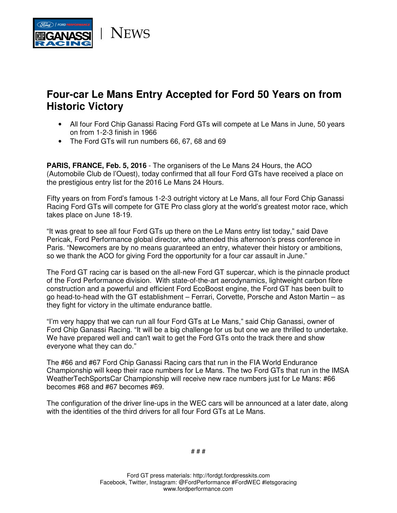

## **Four-car Le Mans Entry Accepted for Ford 50 Years on from Historic Victory**

- All four Ford Chip Ganassi Racing Ford GTs will compete at Le Mans in June, 50 years on from 1-2-3 finish in 1966
- The Ford GTs will run numbers 66, 67, 68 and 69

**PARIS, FRANCE, Feb. 5, 2016** - The organisers of the Le Mans 24 Hours, the ACO (Automobile Club de l'Ouest), today confirmed that all four Ford GTs have received a place on the prestigious entry list for the 2016 Le Mans 24 Hours.

Fifty years on from Ford's famous 1-2-3 outright victory at Le Mans, all four Ford Chip Ganassi Racing Ford GTs will compete for GTE Pro class glory at the world's greatest motor race, which takes place on June 18-19.

"It was great to see all four Ford GTs up there on the Le Mans entry list today," said Dave Pericak, Ford Performance global director, who attended this afternoon's press conference in Paris. "Newcomers are by no means guaranteed an entry, whatever their history or ambitions, so we thank the ACO for giving Ford the opportunity for a four car assault in June."

The Ford GT racing car is based on the all-new Ford GT supercar, which is the pinnacle product of the Ford Performance division. With state-of-the-art aerodynamics, lightweight carbon fibre construction and a powerful and efficient Ford EcoBoost engine, the Ford GT has been built to go head-to-head with the GT establishment – Ferrari, Corvette, Porsche and Aston Martin – as they fight for victory in the ultimate endurance battle.

"I'm very happy that we can run all four Ford GTs at Le Mans," said Chip Ganassi, owner of Ford Chip Ganassi Racing. "It will be a big challenge for us but one we are thrilled to undertake. We have prepared well and can't wait to get the Ford GTs onto the track there and show everyone what they can do."

The #66 and #67 Ford Chip Ganassi Racing cars that run in the FIA World Endurance Championship will keep their race numbers for Le Mans. The two Ford GTs that run in the IMSA WeatherTechSportsCar Championship will receive new race numbers just for Le Mans: #66 becomes #68 and #67 becomes #69.

The configuration of the driver line-ups in the WEC cars will be announced at a later date, along with the identities of the third drivers for all four Ford GTs at Le Mans.

# # #